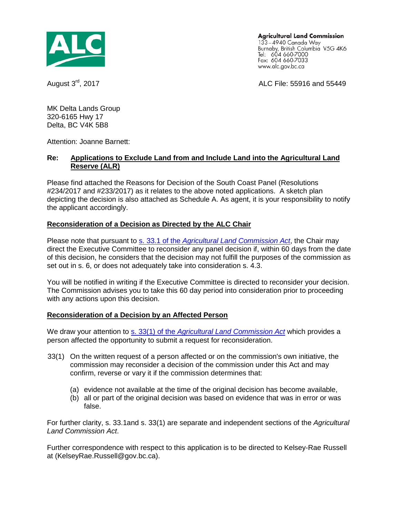

**Agricultural Land Commission** 

133-4940 Canada Way Burnaby, British Columbia V5G 4K6<br>Tel: 604 660-7000 Fax: 604 660-7033 www.alc.gov.bc.ca

August 3<sup>rd</sup>, 2017 **AUGUST 2017** ALC File: 55916 and 55449

MK Delta Lands Group 320-6165 Hwy 17 Delta, BC V4K 5B8

Attention: Joanne Barnett:

#### **Re: Applications to Exclude Land from and Include Land into the Agricultural Land Reserve (ALR)**

Please find attached the Reasons for Decision of the South Coast Panel (Resolutions #234/2017 and #233/2017) as it relates to the above noted applications. A sketch plan depicting the decision is also attached as Schedule A. As agent, it is your responsibility to notify the applicant accordingly.

## **Reconsideration of a Decision as Directed by the ALC Chair**

Please note that pursuant to s. 33.1 of the *[Agricultural Land Commission Act](http://www.bclaws.ca/Recon/document/ID/freeside/00_02036_01#section33.1)*, the Chair may direct the Executive Committee to reconsider any panel decision if, within 60 days from the date of this decision, he considers that the decision may not fulfill the purposes of the commission as set out in s. 6, or does not adequately take into consideration s. 4.3.

You will be notified in writing if the Executive Committee is directed to reconsider your decision. The Commission advises you to take this 60 day period into consideration prior to proceeding with any actions upon this decision.

# **Reconsideration of a Decision by an Affected Person**

We draw your attention to s. 33(1) of the *[Agricultural Land Commission Act](http://www.bclaws.ca/Recon/document/ID/freeside/00_02036_01#section33)* which provides a person affected the opportunity to submit a request for reconsideration.

- 33(1) On the written request of a person affected or on the commission's own initiative, the commission may reconsider a decision of the commission under this Act and may confirm, reverse or vary it if the commission determines that:
	- (a) evidence not available at the time of the original decision has become available,
	- (b) all or part of the original decision was based on evidence that was in error or was false.

For further clarity, s. 33.1and s. 33(1) are separate and independent sections of the *Agricultural Land Commission Act*.

Further correspondence with respect to this application is to be directed to Kelsey-Rae Russell at (KelseyRae.Russell@gov.bc.ca).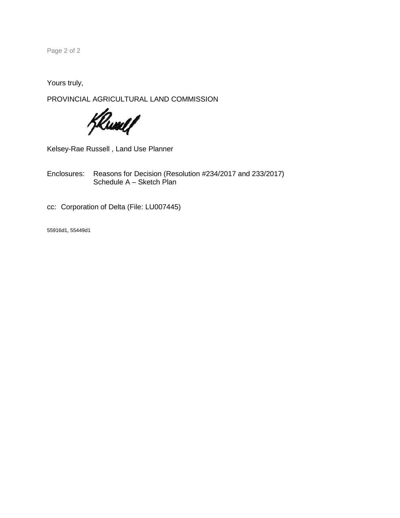Page 2 of 2

Yours truly,

PROVINCIAL AGRICULTURAL LAND COMMISSION

Klunel /

Kelsey-Rae Russell , Land Use Planner

Enclosures: Reasons for Decision (Resolution #234/2017 and 233/2017) Schedule A – Sketch Plan

cc: Corporation of Delta (File: LU007445)

55916d1, 55449d1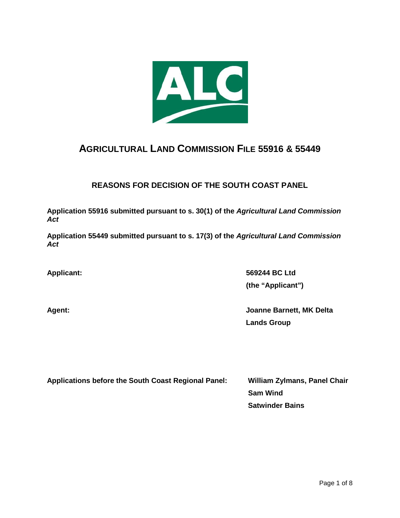

# **AGRICULTURAL LAND COMMISSION FILE 55916 & 55449**

# **REASONS FOR DECISION OF THE SOUTH COAST PANEL**

**Application 55916 submitted pursuant to s. 30(1) of the** *Agricultural Land Commission Act*

**Application 55449 submitted pursuant to s. 17(3) of the** *Agricultural Land Commission Act*

**Applicant: 569244 BC Ltd (the "Applicant")**

**Agent: Joanne Barnett, MK Delta Lands Group**

**Applications before the South Coast Regional Panel: William Zylmans, Panel Chair**

**Sam Wind Satwinder Bains**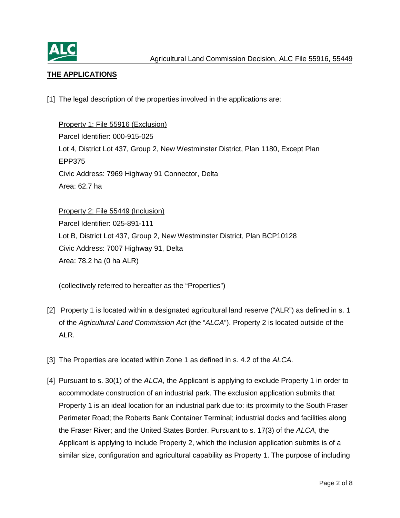

# **THE APPLICATIONS**

[1] The legal description of the properties involved in the applications are:

Property 1: File 55916 (Exclusion) Parcel Identifier: 000-915-025 Lot 4, District Lot 437, Group 2, New Westminster District, Plan 1180, Except Plan EPP375 Civic Address: 7969 Highway 91 Connector, Delta Area: 62.7 ha

Property 2: File 55449 (Inclusion) Parcel Identifier: 025-891-111 Lot B, District Lot 437, Group 2, New Westminster District, Plan BCP10128 Civic Address: 7007 Highway 91, Delta Area: 78.2 ha (0 ha ALR)

(collectively referred to hereafter as the "Properties")

- [2] Property 1 is located within a designated agricultural land reserve ("ALR") as defined in s. 1 of the *Agricultural Land Commission Act* (the "*ALCA*"). Property 2 is located outside of the ALR.
- [3] The Properties are located within Zone 1 as defined in s. 4.2 of the *ALCA*.
- [4] Pursuant to s. 30(1) of the *ALCA*, the Applicant is applying to exclude Property 1 in order to accommodate construction of an industrial park. The exclusion application submits that Property 1 is an ideal location for an industrial park due to: its proximity to the South Fraser Perimeter Road; the Roberts Bank Container Terminal; industrial docks and facilities along the Fraser River; and the United States Border. Pursuant to s. 17(3) of the *ALCA*, the Applicant is applying to include Property 2, which the inclusion application submits is of a similar size, configuration and agricultural capability as Property 1. The purpose of including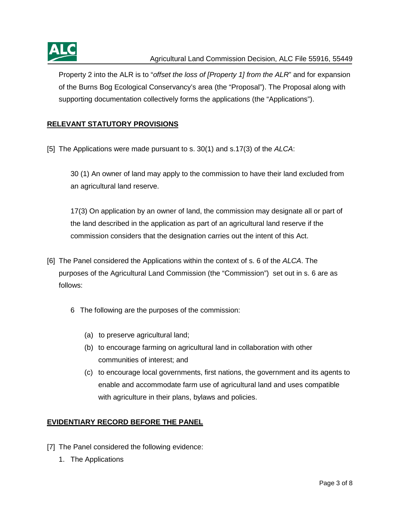

Property 2 into the ALR is to "*offset the loss of [Property 1] from the ALR*" and for expansion of the Burns Bog Ecological Conservancy's area (the "Proposal"). The Proposal along with supporting documentation collectively forms the applications (the "Applications").

# **RELEVANT STATUTORY PROVISIONS**

[5] The Applications were made pursuant to s. 30(1) and s.17(3) of the *ALCA*:

30 (1) An owner of land may apply to the commission to have their land excluded from an agricultural land reserve.

17(3) On application by an owner of land, the commission may designate all or part of the land described in the application as part of an agricultural land reserve if the commission considers that the designation carries out the intent of this Act.

- [6] The Panel considered the Applications within the context of s. 6 of the *ALCA*. The purposes of the Agricultural Land Commission (the "Commission") set out in s. 6 are as follows:
	- 6 The following are the purposes of the commission:
		- (a) to preserve agricultural land;
		- (b) to encourage farming on agricultural land in collaboration with other communities of interest; and
		- (c) to encourage local governments, first nations, the government and its agents to enable and accommodate farm use of agricultural land and uses compatible with agriculture in their plans, bylaws and policies.

# **EVIDENTIARY RECORD BEFORE THE PANEL**

- [7] The Panel considered the following evidence:
	- 1. The Applications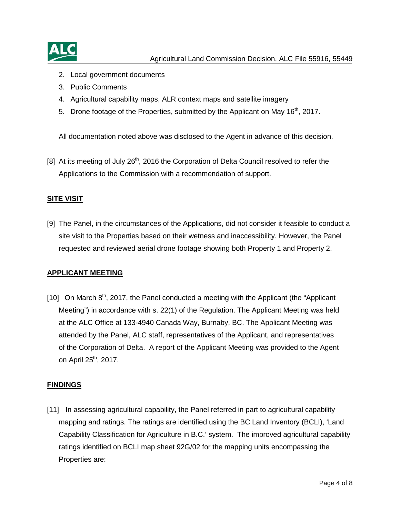

- 2. Local government documents
- 3. Public Comments
- 4. Agricultural capability maps, ALR context maps and satellite imagery
- 5. Drone footage of the Properties, submitted by the Applicant on May 16<sup>th</sup>, 2017.

All documentation noted above was disclosed to the Agent in advance of this decision.

[8] At its meeting of July 26<sup>th</sup>, 2016 the Corporation of Delta Council resolved to refer the Applications to the Commission with a recommendation of support.

#### **SITE VISIT**

[9] The Panel, in the circumstances of the Applications, did not consider it feasible to conduct a site visit to the Properties based on their wetness and inaccessibility. However, the Panel requested and reviewed aerial drone footage showing both Property 1 and Property 2.

#### **APPLICANT MEETING**

[10] On March  $8<sup>th</sup>$ , 2017, the Panel conducted a meeting with the Applicant (the "Applicant" Meeting") in accordance with s. 22(1) of the Regulation. The Applicant Meeting was held at the ALC Office at 133-4940 Canada Way, Burnaby, BC. The Applicant Meeting was attended by the Panel, ALC staff, representatives of the Applicant, and representatives of the Corporation of Delta. A report of the Applicant Meeting was provided to the Agent on April  $25<sup>th</sup>$ , 2017.

#### **FINDINGS**

[11] In assessing agricultural capability, the Panel referred in part to agricultural capability mapping and ratings. The ratings are identified using the BC Land Inventory (BCLI), 'Land Capability Classification for Agriculture in B.C.' system. The improved agricultural capability ratings identified on BCLI map sheet 92G/02 for the mapping units encompassing the Properties are: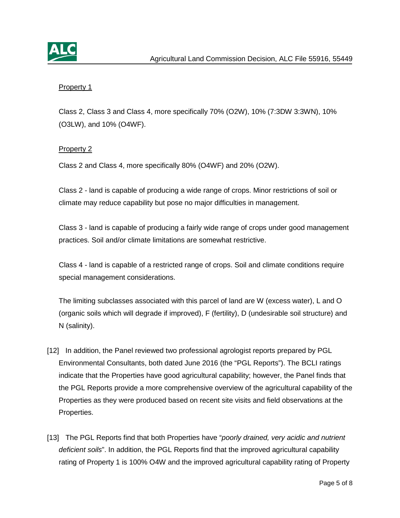

## Property 1

Class 2, Class 3 and Class 4, more specifically 70% (O2W), 10% (7:3DW 3:3WN), 10% (O3LW), and 10% (O4WF).

## Property 2

Class 2 and Class 4, more specifically 80% (O4WF) and 20% (O2W).

Class 2 - land is capable of producing a wide range of crops. Minor restrictions of soil or climate may reduce capability but pose no major difficulties in management.

Class 3 - land is capable of producing a fairly wide range of crops under good management practices. Soil and/or climate limitations are somewhat restrictive.

Class 4 - land is capable of a restricted range of crops. Soil and climate conditions require special management considerations.

The limiting subclasses associated with this parcel of land are W (excess water), L and O (organic soils which will degrade if improved), F (fertility), D (undesirable soil structure) and N (salinity).

- [12] In addition, the Panel reviewed two professional agrologist reports prepared by PGL Environmental Consultants, both dated June 2016 (the "PGL Reports"). The BCLI ratings indicate that the Properties have good agricultural capability; however, the Panel finds that the PGL Reports provide a more comprehensive overview of the agricultural capability of the Properties as they were produced based on recent site visits and field observations at the Properties.
- [13] The PGL Reports find that both Properties have "*poorly drained, very acidic and nutrient deficient soils*". In addition, the PGL Reports find that the improved agricultural capability rating of Property 1 is 100% O4W and the improved agricultural capability rating of Property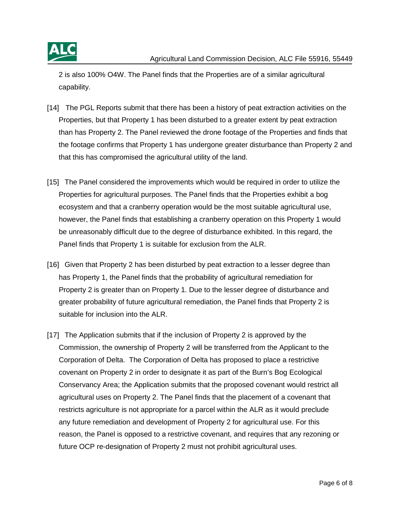

2 is also 100% O4W. The Panel finds that the Properties are of a similar agricultural capability.

- [14] The PGL Reports submit that there has been a history of peat extraction activities on the Properties, but that Property 1 has been disturbed to a greater extent by peat extraction than has Property 2. The Panel reviewed the drone footage of the Properties and finds that the footage confirms that Property 1 has undergone greater disturbance than Property 2 and that this has compromised the agricultural utility of the land.
- [15] The Panel considered the improvements which would be required in order to utilize the Properties for agricultural purposes. The Panel finds that the Properties exhibit a bog ecosystem and that a cranberry operation would be the most suitable agricultural use, however, the Panel finds that establishing a cranberry operation on this Property 1 would be unreasonably difficult due to the degree of disturbance exhibited. In this regard, the Panel finds that Property 1 is suitable for exclusion from the ALR.
- [16] Given that Property 2 has been disturbed by peat extraction to a lesser degree than has Property 1, the Panel finds that the probability of agricultural remediation for Property 2 is greater than on Property 1. Due to the lesser degree of disturbance and greater probability of future agricultural remediation, the Panel finds that Property 2 is suitable for inclusion into the ALR.
- [17] The Application submits that if the inclusion of Property 2 is approved by the Commission, the ownership of Property 2 will be transferred from the Applicant to the Corporation of Delta. The Corporation of Delta has proposed to place a restrictive covenant on Property 2 in order to designate it as part of the Burn's Bog Ecological Conservancy Area; the Application submits that the proposed covenant would restrict all agricultural uses on Property 2. The Panel finds that the placement of a covenant that restricts agriculture is not appropriate for a parcel within the ALR as it would preclude any future remediation and development of Property 2 for agricultural use. For this reason, the Panel is opposed to a restrictive covenant, and requires that any rezoning or future OCP re-designation of Property 2 must not prohibit agricultural uses.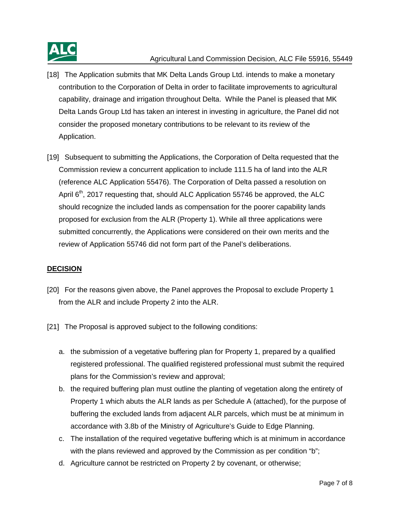

#### Agricultural Land Commission Decision, ALC File 55916, 55449

- [18] The Application submits that MK Delta Lands Group Ltd. intends to make a monetary contribution to the Corporation of Delta in order to facilitate improvements to agricultural capability, drainage and irrigation throughout Delta. While the Panel is pleased that MK Delta Lands Group Ltd has taken an interest in investing in agriculture, the Panel did not consider the proposed monetary contributions to be relevant to its review of the Application.
- [19] Subsequent to submitting the Applications, the Corporation of Delta requested that the Commission review a concurrent application to include 111.5 ha of land into the ALR (reference ALC Application 55476). The Corporation of Delta passed a resolution on April  $6<sup>th</sup>$ , 2017 requesting that, should ALC Application 55746 be approved, the ALC should recognize the included lands as compensation for the poorer capability lands proposed for exclusion from the ALR (Property 1). While all three applications were submitted concurrently, the Applications were considered on their own merits and the review of Application 55746 did not form part of the Panel's deliberations.

#### **DECISION**

- [20] For the reasons given above, the Panel approves the Proposal to exclude Property 1 from the ALR and include Property 2 into the ALR.
- [21] The Proposal is approved subject to the following conditions:
	- a. the submission of a vegetative buffering plan for Property 1, prepared by a qualified registered professional. The qualified registered professional must submit the required plans for the Commission's review and approval;
	- b. the required buffering plan must outline the planting of vegetation along the entirety of Property 1 which abuts the ALR lands as per Schedule A (attached), for the purpose of buffering the excluded lands from adjacent ALR parcels, which must be at minimum in accordance with 3.8b of the Ministry of Agriculture's Guide to Edge Planning.
	- c. The installation of the required vegetative buffering which is at minimum in accordance with the plans reviewed and approved by the Commission as per condition "b";
	- d. Agriculture cannot be restricted on Property 2 by covenant, or otherwise;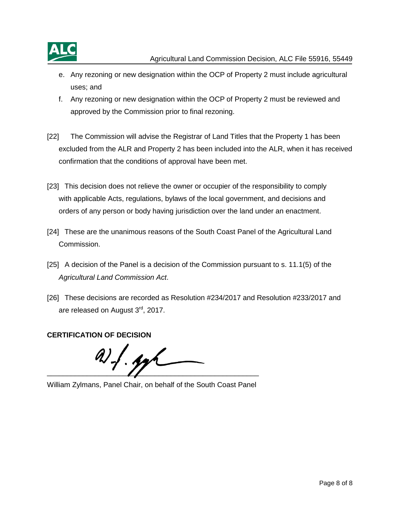

- e. Any rezoning or new designation within the OCP of Property 2 must include agricultural uses; and
- f. Any rezoning or new designation within the OCP of Property 2 must be reviewed and approved by the Commission prior to final rezoning.
- [22] The Commission will advise the Registrar of Land Titles that the Property 1 has been excluded from the ALR and Property 2 has been included into the ALR, when it has received confirmation that the conditions of approval have been met.
- [23] This decision does not relieve the owner or occupier of the responsibility to comply with applicable Acts, regulations, bylaws of the local government, and decisions and orders of any person or body having jurisdiction over the land under an enactment.
- [24] These are the unanimous reasons of the South Coast Panel of the Agricultural Land Commission.
- [25] A decision of the Panel is a decision of the Commission pursuant to s. 11.1(5) of the *Agricultural Land Commission Act*.
- [26] These decisions are recorded as Resolution #234/2017 and Resolution #233/2017 and are released on August 3<sup>rd</sup>, 2017.

**CERTIFICATION OF DECISION**

 $\overline{\phantom{a}}$  ,  $\overline{\phantom{a}}$  ,  $\overline{\phantom{a}}$  ,  $\overline{\phantom{a}}$  ,  $\overline{\phantom{a}}$  ,  $\overline{\phantom{a}}$  ,  $\overline{\phantom{a}}$  ,  $\overline{\phantom{a}}$  ,  $\overline{\phantom{a}}$  ,  $\overline{\phantom{a}}$  ,  $\overline{\phantom{a}}$  ,  $\overline{\phantom{a}}$  ,  $\overline{\phantom{a}}$  ,  $\overline{\phantom{a}}$  ,  $\overline{\phantom{a}}$  ,  $\overline{\phantom{a}}$ 

William Zylmans, Panel Chair, on behalf of the South Coast Panel